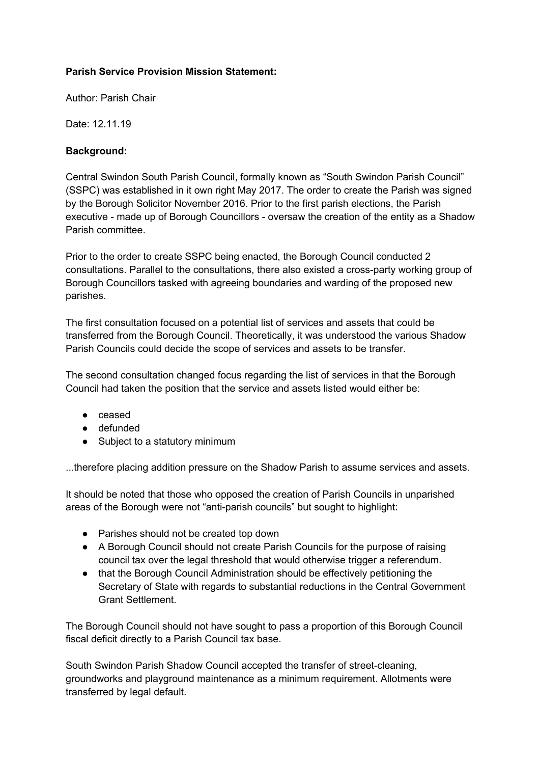## **Parish Service Provision Mission Statement:**

Author: Parish Chair

Date: 12.11.19

# **Background:**

Central Swindon South Parish Council, formally known as "South Swindon Parish Council" (SSPC) was established in it own right May 2017. The order to create the Parish was signed by the Borough Solicitor November 2016. Prior to the first parish elections, the Parish executive - made up of Borough Councillors - oversaw the creation of the entity as a Shadow Parish committee.

Prior to the order to create SSPC being enacted, the Borough Council conducted 2 consultations. Parallel to the consultations, there also existed a cross-party working group of Borough Councillors tasked with agreeing boundaries and warding of the proposed new parishes.

The first consultation focused on a potential list of services and assets that could be transferred from the Borough Council. Theoretically, it was understood the various Shadow Parish Councils could decide the scope of services and assets to be transfer.

The second consultation changed focus regarding the list of services in that the Borough Council had taken the position that the service and assets listed would either be:

- ceased
- defunded
- Subject to a statutory minimum

...therefore placing addition pressure on the Shadow Parish to assume services and assets.

It should be noted that those who opposed the creation of Parish Councils in unparished areas of the Borough were not "anti-parish councils" but sought to highlight:

- Parishes should not be created top down
- A Borough Council should not create Parish Councils for the purpose of raising council tax over the legal threshold that would otherwise trigger a referendum.
- that the Borough Council Administration should be effectively petitioning the Secretary of State with regards to substantial reductions in the Central Government Grant Settlement.

The Borough Council should not have sought to pass a proportion of this Borough Council fiscal deficit directly to a Parish Council tax base.

South Swindon Parish Shadow Council accepted the transfer of street-cleaning, groundworks and playground maintenance as a minimum requirement. Allotments were transferred by legal default.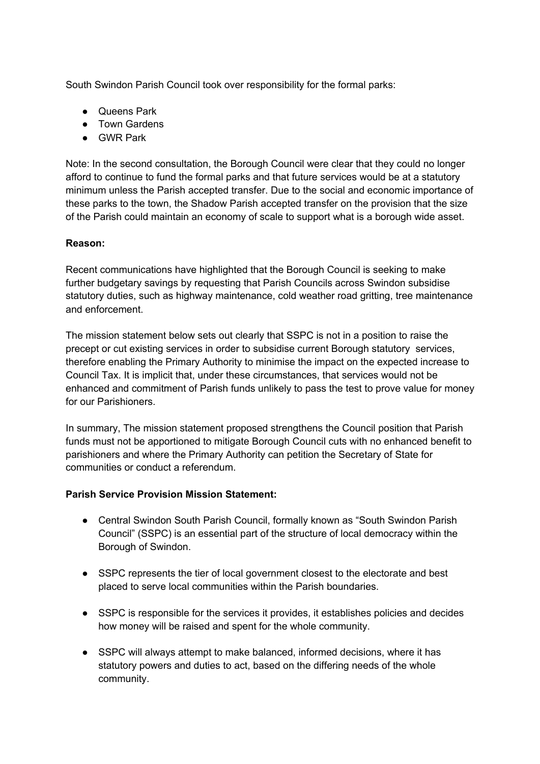South Swindon Parish Council took over responsibility for the formal parks:

- Queens Park
- Town Gardens
- GWR Park

Note: In the second consultation, the Borough Council were clear that they could no longer afford to continue to fund the formal parks and that future services would be at a statutory minimum unless the Parish accepted transfer. Due to the social and economic importance of these parks to the town, the Shadow Parish accepted transfer on the provision that the size of the Parish could maintain an economy of scale to support what is a borough wide asset.

### **Reason:**

Recent communications have highlighted that the Borough Council is seeking to make further budgetary savings by requesting that Parish Councils across Swindon subsidise statutory duties, such as highway maintenance, cold weather road gritting, tree maintenance and enforcement.

The mission statement below sets out clearly that SSPC is not in a position to raise the precept or cut existing services in order to subsidise current Borough statutory services, therefore enabling the Primary Authority to minimise the impact on the expected increase to Council Tax. It is implicit that, under these circumstances, that services would not be enhanced and commitment of Parish funds unlikely to pass the test to prove value for money for our Parishioners.

In summary, The mission statement proposed strengthens the Council position that Parish funds must not be apportioned to mitigate Borough Council cuts with no enhanced benefit to parishioners and where the Primary Authority can petition the Secretary of State for communities or conduct a referendum.

#### **Parish Service Provision Mission Statement:**

- Central Swindon South Parish Council, formally known as "South Swindon Parish Council" (SSPC) is an essential part of the structure of local democracy within the Borough of Swindon.
- SSPC represents the tier of local government closest to the electorate and best placed to serve local communities within the Parish boundaries.
- SSPC is responsible for the services it provides, it establishes policies and decides how money will be raised and spent for the whole community.
- SSPC will always attempt to make balanced, informed decisions, where it has statutory powers and duties to act, based on the differing needs of the whole community.